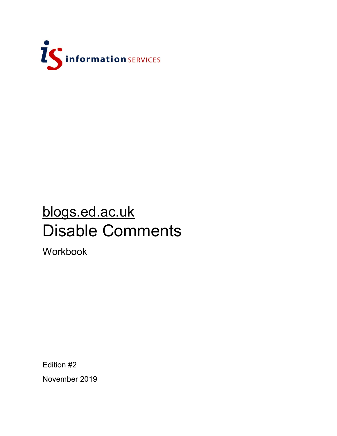

## blogs.ed.ac.uk Disable Comments

Workbook

Edition #2 November 2019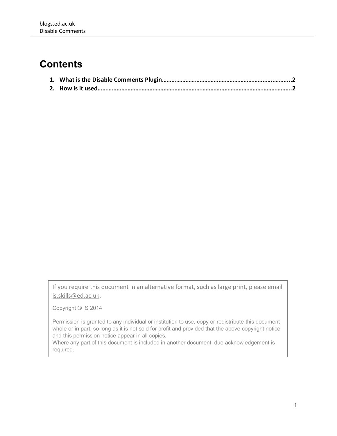## **Contents**

If you require this document in an alternative format, such as large print, please email [is.skills@ed.ac.uk.](mailto:is.skills@ed.ac.uk)

Copyright © IS 2014

Permission is granted to any individual or institution to use, copy or redistribute this document whole or in part, so long as it is not sold for profit and provided that the above copyright notice and this permission notice appear in all copies.

Where any part of this document is included in another document, due acknowledgement is required.